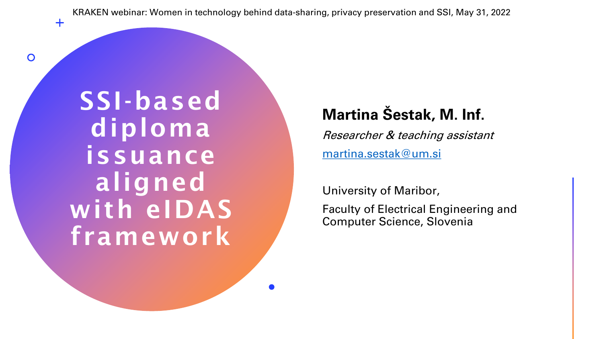KRAKEN webinar: Women in technology behind data-sharing, privacy preservation and SSI, May 31, 2022

SSI-based diploma issuance aligned with eIDAS framework

 $+$ 

 $\overline{O}$ 

### **Martina Šestak, M. Inf.**

Researcher & teaching assistant [martina.sestak@um.si](mailto:martina.sestak@um.si)

University of Maribor,

Faculty of Electrical Engineering and Computer Science, Slovenia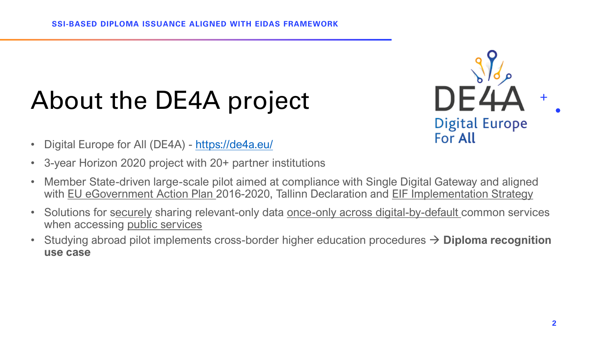## About the DE4A project



- Digital Europe for All (DE4A) <https://de4a.eu/>
- 3-year Horizon 2020 project with 20+ partner institutions
- Member State-driven large-scale pilot aimed at compliance with Single Digital Gateway and aligned with EU eGovernment Action Plan 2016-2020, Tallinn Declaration and EIF Implementation Strategy
- Solutions for securely sharing relevant-only data once-only across digital-by-default common services when accessing public services
- Studying abroad pilot implements cross-border higher education procedures → **Diploma recognition use case**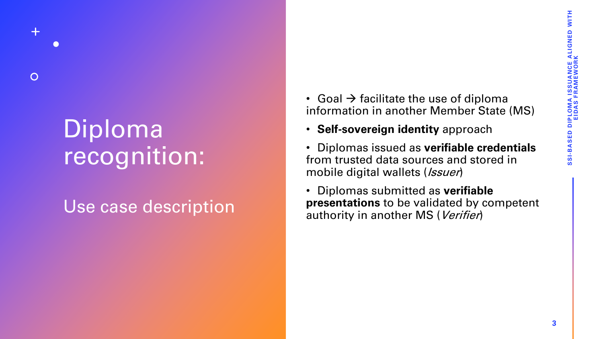## Diploma recognition:

 $\overline{O}$ 

### Use case description

- Goal  $\rightarrow$  facilitate the use of diploma information in another Member State (MS)
- **Self-sovereign identity** approach
- Diplomas issued as **verifiable credentials** from trusted data sources and stored in mobile digital wallets (*Issuer*)
- Diplomas submitted as **verifiable presentations** to be validated by competent authority in another MS (Verifier)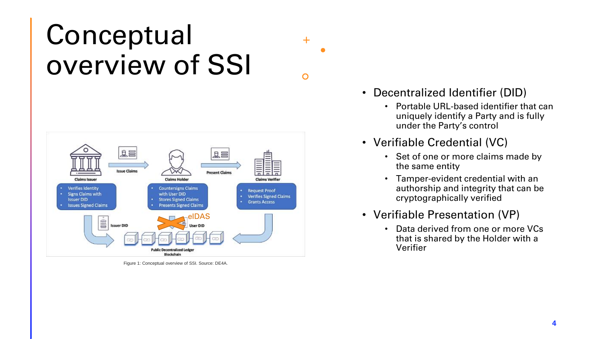## **Conceptual** overview of SSI



Figure 1: Conceptual overview of SSI. Source: DE4A.

• Decentralized Identifier (DID)

 $+$ 

 $\circ$ 

- Portable URL-based identifier that can uniquely identify a Party and is fully under the Party's control
- Verifiable Credential (VC)
	- Set of one or more claims made by the same entity
	- Tamper-evident credential with an authorship and integrity that can be cryptographically verified
- Verifiable Presentation (VP)
	- Data derived from one or more VCs that is shared by the Holder with a Verifier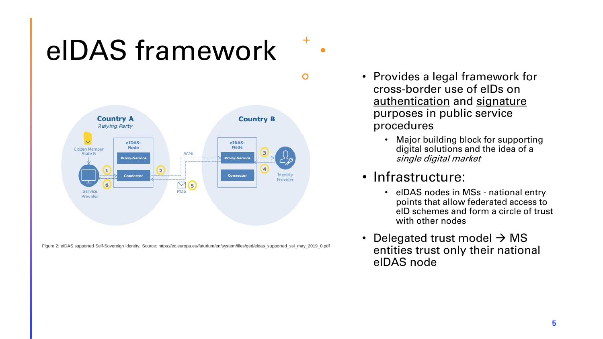# eIDAS framework



Figure 2: eIDAS supported Self-Sovereign Identity. Source: https://ec.europa.eu/futurium/en/system/files/ged/eidas\_supported\_ssi\_may\_2019\_0.pdf

- Provides a legal framework for cross-border use of eIDs on authentication and signature purposes in public service procedures
	- Major building block for supporting digital solutions and the idea of a single digital market

### • Infrastructure:

 $\div$ 

 $\mathbf O$ 

- eIDAS nodes in MSs national entry points that allow federated access to eID schemes and form a circle of trust with other nodes
- Delegated trust model  $\rightarrow$  MS entities trust only their national eIDAS node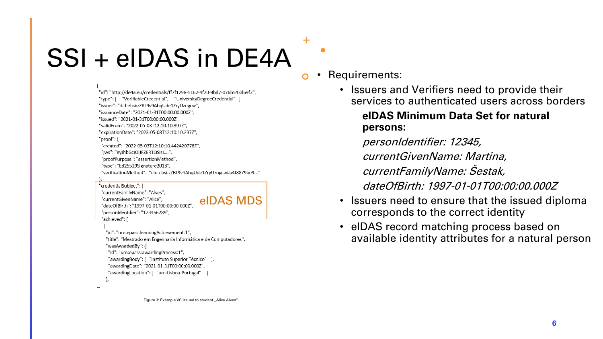# $SSI + eIDAS$  in  $DE4A$   $\frac{1}{\circ}$   $\cdot$  Requirements:

<del>"achieved": [</del>

"id": "http://de4a.eu/credentials/ff7f1798-5162-4f20-9bd7-076b543d69f2", "type": [ "VerifiableCredential", "UniversityDegreeCredential" ] "issuer": "did:ebsi:zZBL9v9AhqUde1ZryUzogcw", "issuanceDate": "2021-01-31T00:00:00.000Z", "issued": "2021-01-31T00:00:00.000Z". "validFrom": "2022-05-03T12:10:10.397Z". "expirationDate": "2023-05-03T12:10:10.397Z", "proof": { "created": "2022-05-03T12:10:10.442420778Z". "jws": "eyJhbGciOiJFZERTQSIsI....", "proofPurpose": "assertionMethod", "type": "Ed25519Signature2018", "verificationMethod": "did:ebsi:zZBL9v9AhqUde1ZryUzogcw#a4f8879be9...'

### "credentialSubject": { "currentFamilyName": "Alves", "currentGivenName": "Alice", eIDAS MDS"dateOfBirth": "1997-01-01T00:00:00.000Z' "personIdentifier": "123456789",

"id": "urn:epass:learningAchievement:1", "title": "Mestrado em Engenharia Informática e de Computadores", "wasAwardedBy": { "id": "urn:epass:awardingProcess:1", "awardingBody": [ "Instituto Superior Técnico" ], "awardingDate": "2021-01-31T00:00:00.000Z", "awardingLocation": [ "urn:Lisboa-Portugal" ]

╋

• Issuers and Verifiers need to provide their services to authenticated users across borders

### **eIDAS Minimum Data Set for natural persons:**

personIdentifier: 12345,

currentGivenName: Martina,

currentFamilyName: Šestak,

dateOfBirth: 1997-01-01T00:00:00.000Z

- Issuers need to ensure that the issued diploma corresponds to the correct identity
- eIDAS record matching process based on available identity attributes for a natural person

Figure 3: Example VC issued to student .. Alice Alves".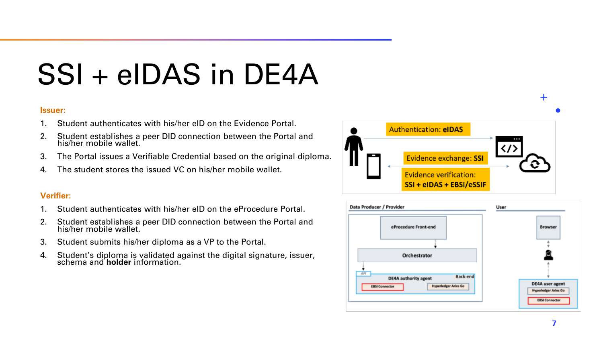# SSI + eIDAS in DE4A

### **Issuer:**

- 1. Student authenticates with his/her eID on the Evidence Portal.
- 2. Student establishes a peer DID connection between the Portal and his/her mobile wallet.
- 3. The Portal issues a Verifiable Credential based on the original diploma.
- 4. The student stores the issued VC on his/her mobile wallet.

### **Verifier:**

- 1. Student authenticates with his/her eID on the eProcedure Portal.
- 2. Student establishes a peer DID connection between the Portal and his/her mobile wallet.
- 3. Student submits his/her diploma as a VP to the Portal.
- 4. Student's diploma is validated against the digital signature, issuer, schema and **holder** information.





╉